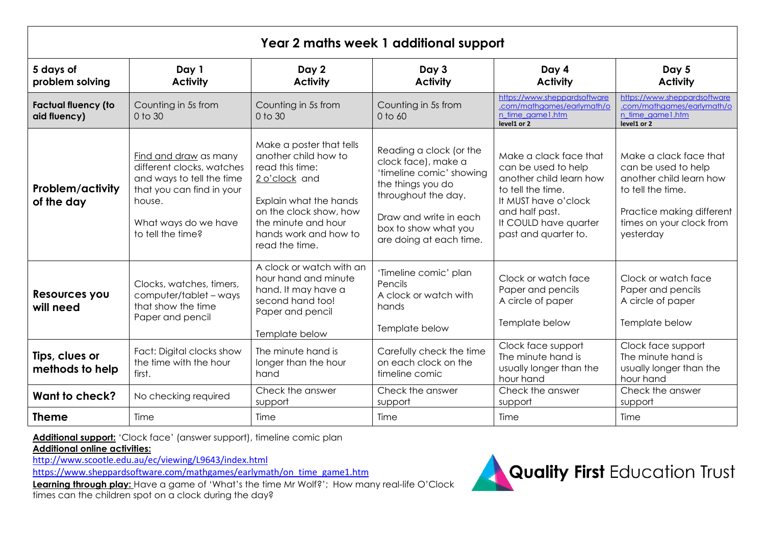| Year 2 maths week 1 additional support     |                                                                                                                                                                     |                                                                                                                                                                                                            |                                                                                                                                                                                                     |                                                                                                                                                                                          |                                                                                                                                                                     |
|--------------------------------------------|---------------------------------------------------------------------------------------------------------------------------------------------------------------------|------------------------------------------------------------------------------------------------------------------------------------------------------------------------------------------------------------|-----------------------------------------------------------------------------------------------------------------------------------------------------------------------------------------------------|------------------------------------------------------------------------------------------------------------------------------------------------------------------------------------------|---------------------------------------------------------------------------------------------------------------------------------------------------------------------|
| 5 days of<br>problem solving               | Day 1<br><b>Activity</b>                                                                                                                                            | Day 2<br><b>Activity</b>                                                                                                                                                                                   | Day 3<br><b>Activity</b>                                                                                                                                                                            | Day 4<br><b>Activity</b>                                                                                                                                                                 | Day 5<br><b>Activity</b>                                                                                                                                            |
| <b>Factual fluency (to</b><br>aid fluency) | Counting in 5s from<br>0 to 30                                                                                                                                      | Counting in 5s from<br>0 to 30                                                                                                                                                                             | Counting in 5s from<br>$0$ to $60$                                                                                                                                                                  | https://www.sheppardsoftware<br>.com/mathaames/earlymath/o<br>n time game 1.htm<br>level1 or 2                                                                                           | https://www.sheppardsoftware<br>.com/mathaames/earlymath/o<br>n time game1.htm<br>level1 or 2                                                                       |
| Problem/activity<br>of the day             | Find and draw as many<br>different clocks, watches<br>and ways to tell the time<br>that you can find in your<br>house.<br>What ways do we have<br>to tell the time? | Make a poster that tells<br>another child how to<br>read this time:<br>2 o'clock and<br>Explain what the hands<br>on the clock show, how<br>the minute and hour<br>hands work and how to<br>read the time. | Reading a clock (or the<br>clock face), make a<br>'timeline comic' showing<br>the things you do<br>throughout the day.<br>Draw and write in each<br>box to show what you<br>are doing at each time. | Make a clack face that<br>can be used to help<br>another child learn how<br>to tell the time.<br>It MUST have o'clock<br>and half past.<br>It COULD have quarter<br>past and quarter to. | Make a clack face that<br>can be used to help<br>another child learn how<br>to tell the time.<br>Practice making different<br>times on your clock from<br>yesterday |
| Resources you<br>will need                 | Clocks, watches, timers,<br>computer/tablet - ways<br>that show the time<br>Paper and pencil                                                                        | A clock or watch with an<br>hour hand and minute<br>hand. It may have a<br>second hand too!<br>Paper and pencil<br>Template below                                                                          | 'Timeline comic' plan<br>Pencils<br>A clock or watch with<br>hands<br>Template below                                                                                                                | Clock or watch face<br>Paper and pencils<br>A circle of paper<br>Template below                                                                                                          | Clock or watch face<br>Paper and pencils<br>A circle of paper<br>Template below                                                                                     |
| Tips, clues or<br>methods to help          | Fact: Digital clocks show<br>the time with the hour<br>first.                                                                                                       | The minute hand is<br>longer than the hour<br>hand                                                                                                                                                         | Carefully check the time<br>on each clock on the<br>timeline comic                                                                                                                                  | Clock face support<br>The minute hand is<br>usually longer than the<br>hour hand                                                                                                         | Clock face support<br>The minute hand is<br>usually longer than the<br>hour hand                                                                                    |
| <b>Want to check?</b>                      | No checking required                                                                                                                                                | Check the answer<br>support                                                                                                                                                                                | Check the answer<br>support                                                                                                                                                                         | Check the answer<br>support                                                                                                                                                              | Check the answer<br>support                                                                                                                                         |
| <b>Theme</b>                               | Time                                                                                                                                                                | Time                                                                                                                                                                                                       | Time                                                                                                                                                                                                | Time                                                                                                                                                                                     | Time                                                                                                                                                                |

**Additional support:** 'Clock face' (answer support), timeline comic plan

**Additional online activities:** 

<http://www.scootle.edu.au/ec/viewing/L9643/index.html>

[https://www.sheppardsoftware.com/mathgames/earlymath/on\\_time\\_game1.htm](https://www.sheppardsoftware.com/mathgames/earlymath/on_time_game1.htm)

Learning through play: Have a game of 'What's the time Mr Wolf?'; How many real-life O'Clock times can the children spot on a clock during the day?

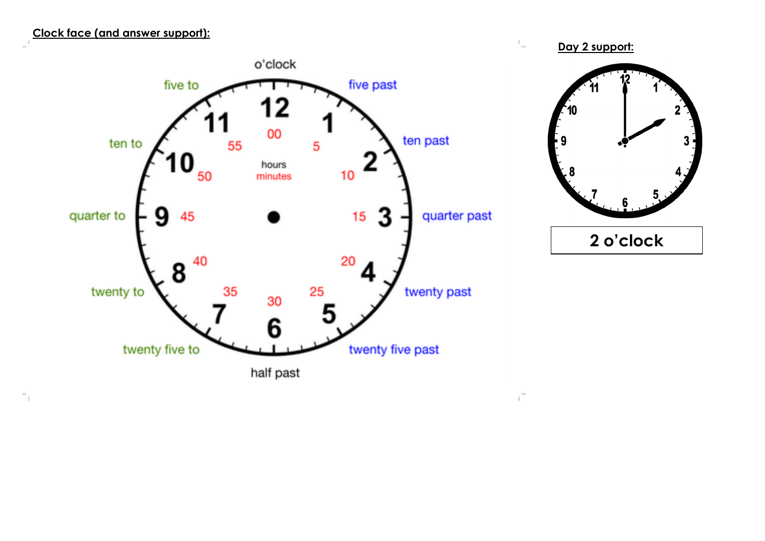## **Clock face (and answer support):**

 $\Gamma_1$ 





 $\mathbb{L}$ 

 $\mathfrak{g}^{\pm}$